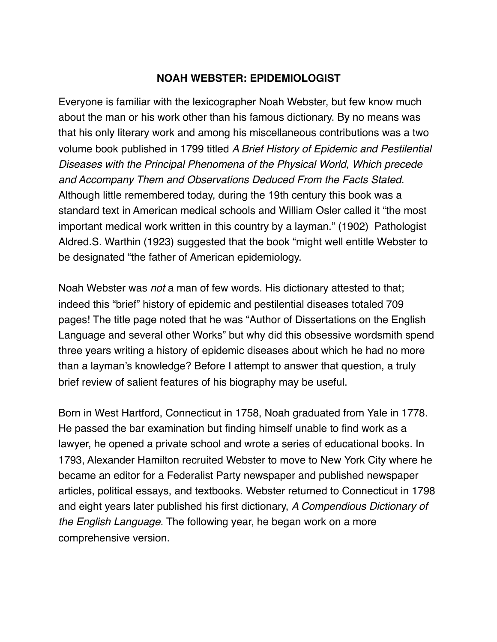## **NOAH WEBSTER: EPIDEMIOLOGIST**

Everyone is familiar with the lexicographer Noah Webster, but few know much about the man or his work other than his famous dictionary. By no means was that his only literary work and among his miscellaneous contributions was a two volume book published in 1799 titled *A Brief History of Epidemic and Pestilential Diseases with the Principal Phenomena of the Physical World, Which precede and Accompany Them and Observations Deduced From the Facts Stated.* Although little remembered today, during the 19th century this book was a standard text in American medical schools and William Osler called it "the most important medical work written in this country by a layman." (1902) Pathologist Aldred.S. Warthin (1923) suggested that the book "might well entitle Webster to be designated "the father of American epidemiology.

Noah Webster was *not* a man of few words. His dictionary attested to that; indeed this "brief" history of epidemic and pestilential diseases totaled 709 pages! The title page noted that he was "Author of Dissertations on the English Language and several other Works" but why did this obsessive wordsmith spend three years writing a history of epidemic diseases about which he had no more than a layman's knowledge? Before I attempt to answer that question, a truly brief review of salient features of his biography may be useful.

Born in West Hartford, Connecticut in 1758, Noah graduated from Yale in 1778. He passed the bar examination but finding himself unable to find work as a lawyer, he opened a private school and wrote a series of educational books. In 1793, Alexander Hamilton recruited Webster to move to New York City where he became an editor for a Federalist Party newspaper and published newspaper articles, political essays, and textbooks. Webster returned to Connecticut in 1798 and eight years later published his first dictionary, *A Compendious Dictionary of the English Language*. The following year, he began work on a more comprehensive version.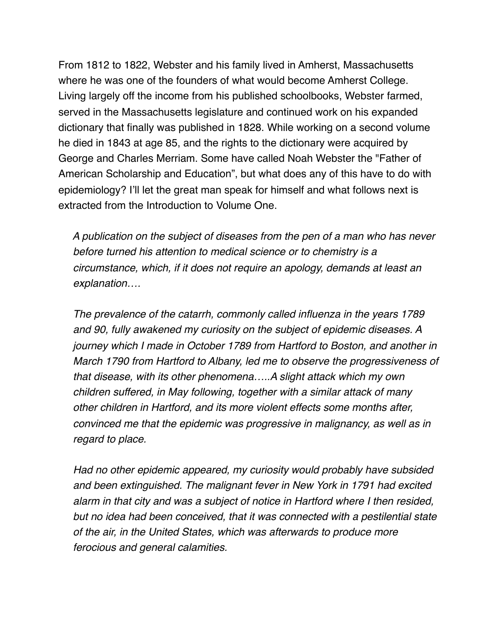From 1812 to 1822, Webster and his family lived in Amherst, Massachusetts where he was one of the founders of what would become Amherst College. Living largely off the income from his published schoolbooks, Webster farmed, served in the Massachusetts legislature and continued work on his expanded dictionary that finally was published in 1828. While working on a second volume he died in 1843 at age 85, and the rights to the dictionary were acquired by George and Charles Merriam. Some have called Noah Webster the "Father of American Scholarship and Education", but what does any of this have to do with epidemiology? I'll let the great man speak for himself and what follows next is extracted from the Introduction to Volume One.

 *A publication on the subject of diseases from the pen of a man who has never before turned his attention to medical science or to chemistry is a circumstance, which, if it does not require an apology, demands at least an explanation….*

 *The prevalence of the catarrh, commonly called influenza in the years 1789 and 90, fully awakened my curiosity on the subject of epidemic diseases. A journey which I made in October 1789 from Hartford to Boston, and another in March 1790 from Hartford to Albany, led me to observe the progressiveness of that disease, with its other phenomena…..A slight attack which my own children suffered, in May following, together with a similar attack of many other children in Hartford, and its more violent effects some months after, convinced me that the epidemic was progressive in malignancy, as well as in regard to place.*

 *Had no other epidemic appeared, my curiosity would probably have subsided and been extinguished. The malignant fever in New York in 1791 had excited alarm in that city and was a subject of notice in Hartford where I then resided, but no idea had been conceived, that it was connected with a pestilential state of the air, in the United States, which was afterwards to produce more ferocious and general calamities.*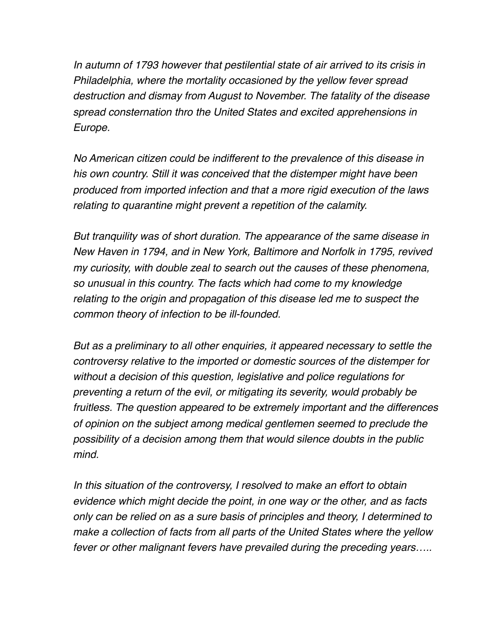*In autumn of 1793 however that pestilential state of air arrived to its crisis in Philadelphia, where the mortality occasioned by the yellow fever spread destruction and dismay from August to November. The fatality of the disease spread consternation thro the United States and excited apprehensions in Europe.*

 *No American citizen could be indifferent to the prevalence of this disease in his own country. Still it was conceived that the distemper might have been produced from imported infection and that a more rigid execution of the laws relating to quarantine might prevent a repetition of the calamity.*

 *But tranquility was of short duration. The appearance of the same disease in New Haven in 1794, and in New York, Baltimore and Norfolk in 1795, revived my curiosity, with double zeal to search out the causes of these phenomena, so unusual in this country. The facts which had come to my knowledge relating to the origin and propagation of this disease led me to suspect the common theory of infection to be ill-founded.* 

 *But as a preliminary to all other enquiries, it appeared necessary to settle the controversy relative to the imported or domestic sources of the distemper for without a decision of this question, legislative and police regulations for preventing a return of the evil, or mitigating its severity, would probably be fruitless. The question appeared to be extremely important and the differences of opinion on the subject among medical gentlemen seemed to preclude the possibility of a decision among them that would silence doubts in the public mind.*

 *In this situation of the controversy, I resolved to make an effort to obtain evidence which might decide the point, in one way or the other, and as facts only can be relied on as a sure basis of principles and theory, I determined to make a collection of facts from all parts of the United States where the yellow fever or other malignant fevers have prevailed during the preceding years…..*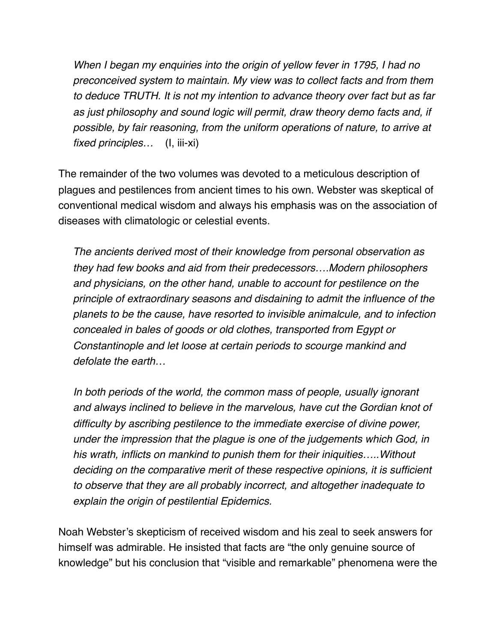*When I began my enquiries into the origin of yellow fever in 1795, I had no preconceived system to maintain. My view was to collect facts and from them to deduce TRUTH. It is not my intention to advance theory over fact but as far as just philosophy and sound logic will permit, draw theory demo facts and, if possible, by fair reasoning, from the uniform operations of nature, to arrive at fixed principles…* (I, iii-xi)

The remainder of the two volumes was devoted to a meticulous description of plagues and pestilences from ancient times to his own. Webster was skeptical of conventional medical wisdom and always his emphasis was on the association of diseases with climatologic or celestial events.

 *The ancients derived most of their knowledge from personal observation as they had few books and aid from their predecessors….Modern philosophers and physicians, on the other hand, unable to account for pestilence on the principle of extraordinary seasons and disdaining to admit the influence of the planets to be the cause, have resorted to invisible animalcule, and to infection concealed in bales of goods or old clothes, transported from Egypt or Constantinople and let loose at certain periods to scourge mankind and defolate the earth…*

 *In both periods of the world, the common mass of people, usually ignorant and always inclined to believe in the marvelous, have cut the Gordian knot of difficulty by ascribing pestilence to the immediate exercise of divine power, under the impression that the plague is one of the judgements which God, in his wrath, inflicts on mankind to punish them for their iniquities…..Without deciding on the comparative merit of these respective opinions, it is sufficient to observe that they are all probably incorrect, and altogether inadequate to explain the origin of pestilential Epidemics.*

Noah Webster's skepticism of received wisdom and his zeal to seek answers for himself was admirable. He insisted that facts are "the only genuine source of knowledge" but his conclusion that "visible and remarkable" phenomena were the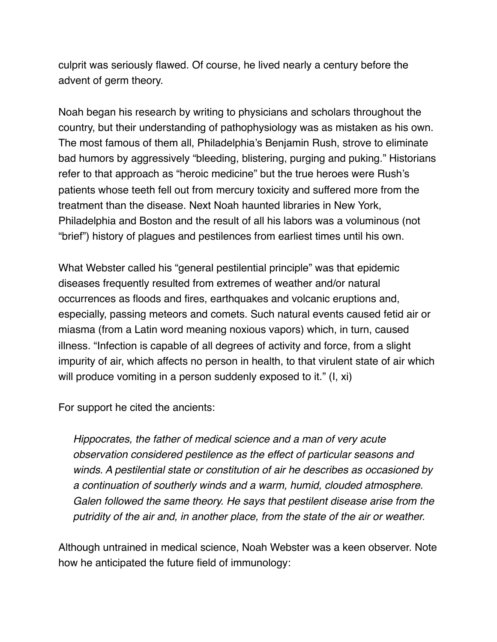culprit was seriously flawed. Of course, he lived nearly a century before the advent of germ theory.

Noah began his research by writing to physicians and scholars throughout the country, but their understanding of pathophysiology was as mistaken as his own. The most famous of them all, Philadelphia's Benjamin Rush, strove to eliminate bad humors by aggressively "bleeding, blistering, purging and puking." Historians refer to that approach as "heroic medicine" but the true heroes were Rush's patients whose teeth fell out from mercury toxicity and suffered more from the treatment than the disease. Next Noah haunted libraries in New York, Philadelphia and Boston and the result of all his labors was a voluminous (not "brief") history of plagues and pestilences from earliest times until his own.

What Webster called his "general pestilential principle" was that epidemic diseases frequently resulted from extremes of weather and/or natural occurrences as floods and fires, earthquakes and volcanic eruptions and, especially, passing meteors and comets. Such natural events caused fetid air or miasma (from a Latin word meaning noxious vapors) which, in turn, caused illness. "Infection is capable of all degrees of activity and force, from a slight impurity of air, which affects no person in health, to that virulent state of air which will produce vomiting in a person suddenly exposed to it." (I, xi)

For support he cited the ancients:

 *Hippocrates, the father of medical science and a man of very acute observation considered pestilence as the effect of particular seasons and winds. A pestilential state or constitution of air he describes as occasioned by a continuation of southerly winds and a warm, humid, clouded atmosphere. Galen followed the same theory. He says that pestilent disease arise from the putridity of the air and, in another place, from the state of the air or weather.*

Although untrained in medical science, Noah Webster was a keen observer. Note how he anticipated the future field of immunology: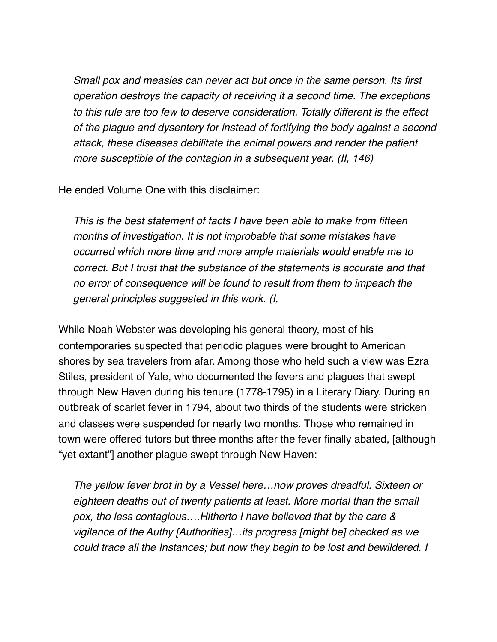*Small pox and measles can never act but once in the same person. Its first operation destroys the capacity of receiving it a second time. The exceptions to this rule are too few to deserve consideration. Totally different is the effect of the plague and dysentery for instead of fortifying the body against a second attack, these diseases debilitate the animal powers and render the patient more susceptible of the contagion in a subsequent year. (II, 146)*

He ended Volume One with this disclaimer:

 *This is the best statement of facts I have been able to make from fifteen months of investigation. It is not improbable that some mistakes have occurred which more time and more ample materials would enable me to correct. But I trust that the substance of the statements is accurate and that no error of consequence will be found to result from them to impeach the general principles suggested in this work. (I,* 

While Noah Webster was developing his general theory, most of his contemporaries suspected that periodic plagues were brought to American shores by sea travelers from afar. Among those who held such a view was Ezra Stiles, president of Yale, who documented the fevers and plagues that swept through New Haven during his tenure (1778-1795) in a Literary Diary. During an outbreak of scarlet fever in 1794, about two thirds of the students were stricken and classes were suspended for nearly two months. Those who remained in town were offered tutors but three months after the fever finally abated, [although "yet extant"] another plague swept through New Haven:

 *The yellow fever brot in by a Vessel here…now proves dreadful. Sixteen or eighteen deaths out of twenty patients at least. More mortal than the small pox, tho less contagious….Hitherto I have believed that by the care & vigilance of the Authy [Authorities]…its progress [might be] checked as we could trace all the Instances; but now they begin to be lost and bewildered. I*